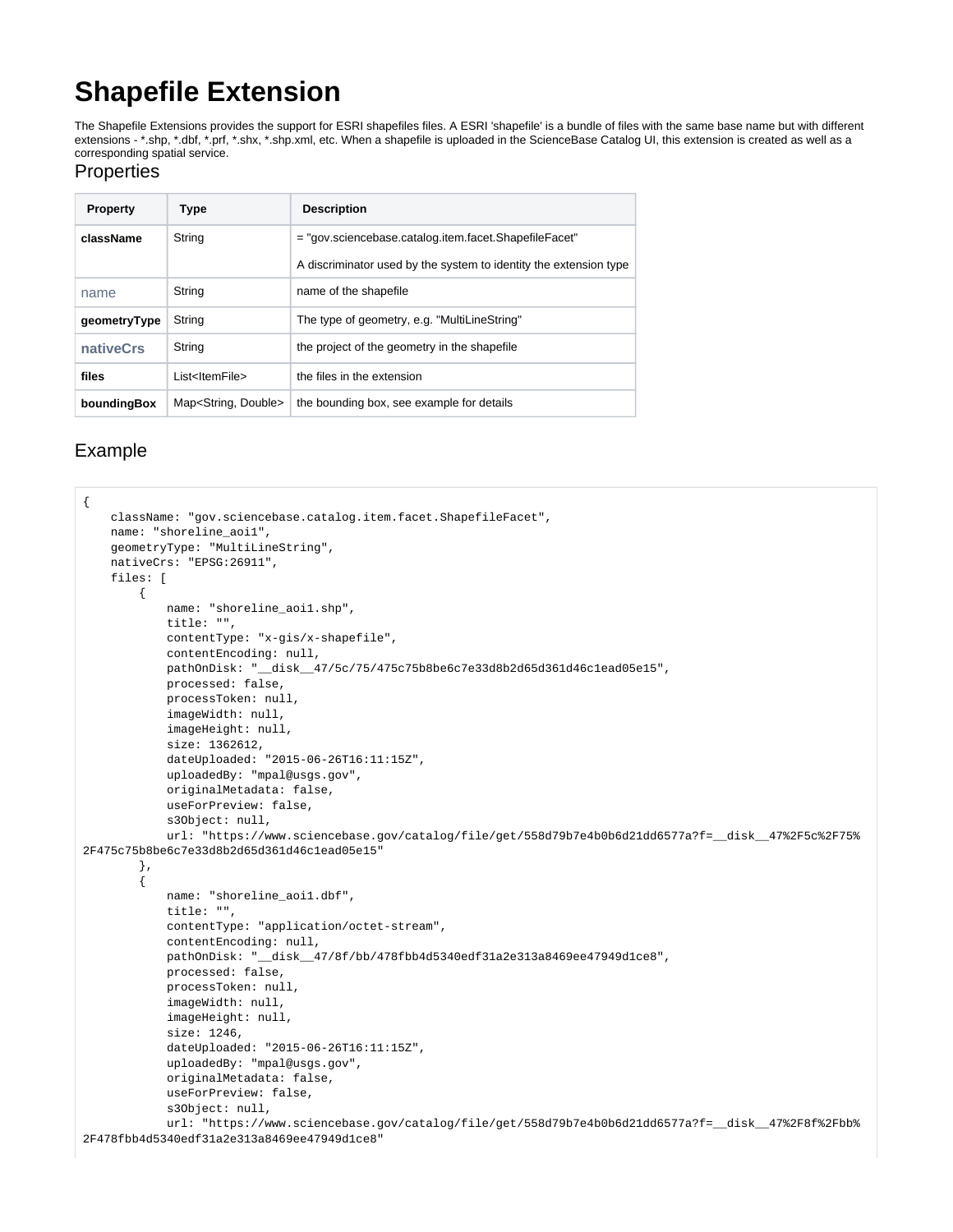## **Shapefile Extension**

The Shapefile Extensions provides the support for ESRI shapefiles files. A ESRI 'shapefile' is a bundle of files with the same base name but with different extensions - \*.shp, \*.dbf, \*.prf, \*.shx, \*.shp.xml, etc. When a shapefile is uploaded in the ScienceBase Catalog UI, this extension is created as well as a corresponding spatial service.

## **Properties**

| <b>Property</b> | <b>Type</b>                       | <b>Description</b>                                                |
|-----------------|-----------------------------------|-------------------------------------------------------------------|
| className       | String                            | = "gov.sciencebase.catalog.item.facet.ShapefileFacet"             |
|                 |                                   | A discriminator used by the system to identity the extension type |
| name            | String                            | name of the shapefile                                             |
| geometryType    | String                            | The type of geometry, e.g. "MultiLineString"                      |
| nativeCrs       | String                            | the project of the geometry in the shapefile                      |
| files           | List <ltemfile></ltemfile>        | the files in the extension                                        |
| boundingBox     | Map <string, double=""></string,> | the bounding box, see example for details                         |

## Example

```
{
     className: "gov.sciencebase.catalog.item.facet.ShapefileFacet",
    name: "shoreline_aoi1",
    geometryType: "MultiLineString",
    nativeCrs: "EPSG:26911",
    files: [
         {
             name: "shoreline_aoi1.shp",
             title: "",
             contentType: "x-gis/x-shapefile",
             contentEncoding: null,
             pathOnDisk: "__disk__47/5c/75/475c75b8be6c7e33d8b2d65d361d46c1ead05e15",
             processed: false,
             processToken: null,
             imageWidth: null,
             imageHeight: null,
             size: 1362612,
             dateUploaded: "2015-06-26T16:11:15Z",
             uploadedBy: "mpal@usgs.gov",
             originalMetadata: false,
             useForPreview: false,
             s3Object: null,
            url: "https://www.sciencebase.gov/catalog/file/get/558d79b7e4b0b6d21dd6577a?f=__disk__47%2F5c%2F75%
2F475c75b8be6c7e33d8b2d65d361d46c1ead05e15"
         },
\left\{ \begin{array}{ccc} 1 & 1 & 1 \\ 1 & 1 & 1 \end{array} \right\} name: "shoreline_aoi1.dbf",
             title: "",
             contentType: "application/octet-stream",
             contentEncoding: null,
             pathOnDisk: "__disk__47/8f/bb/478fbb4d5340edf31a2e313a8469ee47949d1ce8",
             processed: false,
             processToken: null,
             imageWidth: null,
             imageHeight: null,
             size: 1246,
             dateUploaded: "2015-06-26T16:11:15Z",
             uploadedBy: "mpal@usgs.gov",
             originalMetadata: false,
             useForPreview: false,
             s3Object: null,
            url: "https://www.sciencebase.gov/catalog/file/get/558d79b7e4b0b6d21dd6577a?f=_disk_47%2F8f%2Fbb%
2F478fbb4d5340edf31a2e313a8469ee47949d1ce8"
```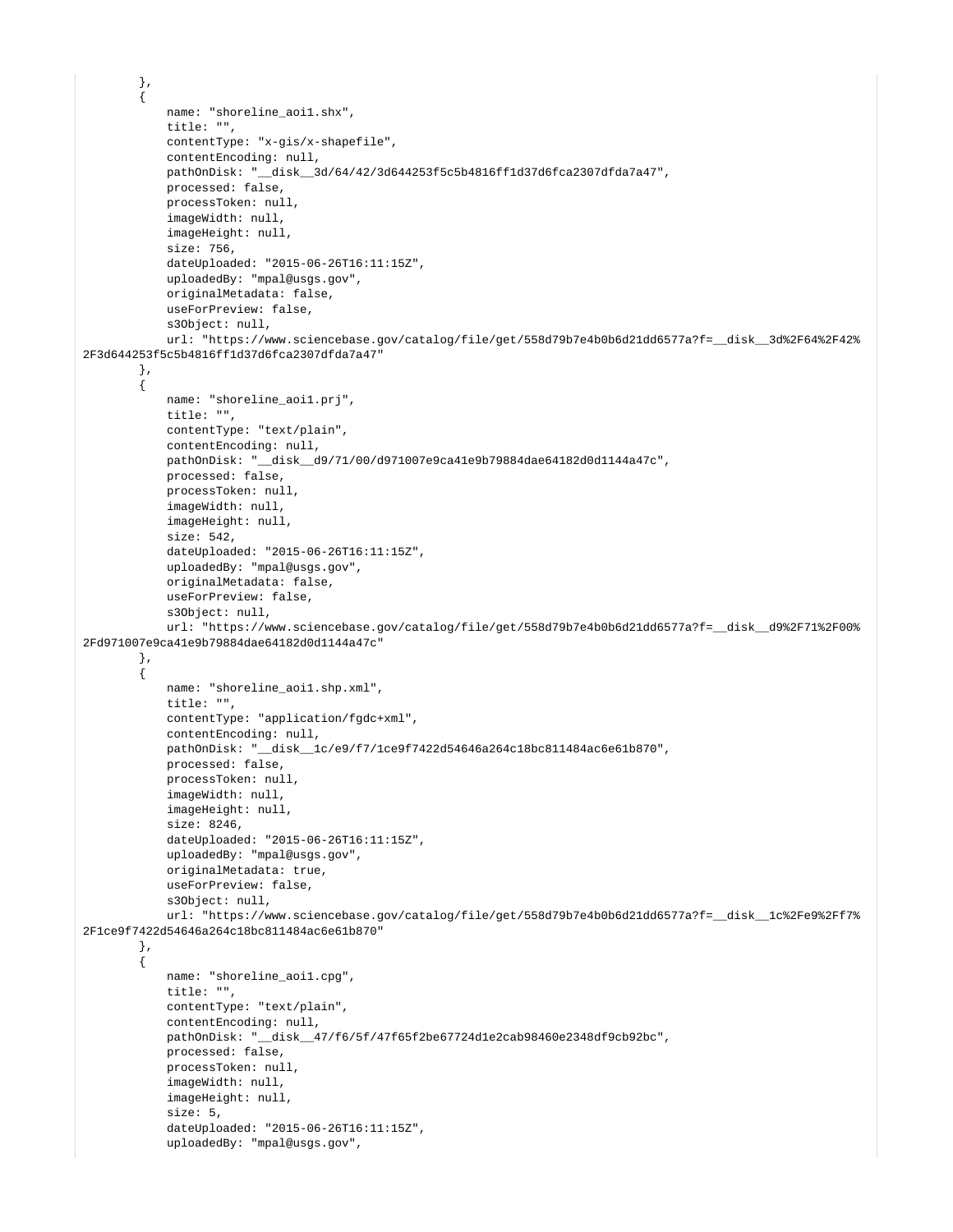```
 },
\left\{ \begin{array}{ccc} 1 & 1 & 1 \\ 1 & 1 & 1 \end{array} \right\} name: "shoreline_aoi1.shx",
             title: "",
             contentType: "x-gis/x-shapefile",
             contentEncoding: null,
             pathOnDisk: "__disk__3d/64/42/3d644253f5c5b4816ff1d37d6fca2307dfda7a47",
             processed: false,
             processToken: null,
             imageWidth: null,
             imageHeight: null,
             size: 756,
             dateUploaded: "2015-06-26T16:11:15Z",
             uploadedBy: "mpal@usgs.gov",
             originalMetadata: false,
             useForPreview: false,
             s3Object: null,
            url: "https://www.sciencebase.gov/catalog/file/get/558d79b7e4b0b6d21dd6577a?f=_disk_3d%2F64%2F42%
2F3d644253f5c5b4816ff1d37d6fca2307dfda7a47"
         },
\left\{ \begin{array}{ccc} 1 & 1 & 1 \\ 1 & 1 & 1 \end{array} \right\} name: "shoreline_aoi1.prj",
             title: "",
             contentType: "text/plain",
             contentEncoding: null,
             pathOnDisk: "__disk__d9/71/00/d971007e9ca41e9b79884dae64182d0d1144a47c",
             processed: false,
             processToken: null,
             imageWidth: null,
             imageHeight: null,
             size: 542,
             dateUploaded: "2015-06-26T16:11:15Z",
             uploadedBy: "mpal@usgs.gov",
             originalMetadata: false,
             useForPreview: false,
             s3Object: null,
            url: "https://www.sciencebase.gov/catalog/file/get/558d79b7e4b0b6d21dd6577a?f= disk d9%2F71%2F00%
2Fd971007e9ca41e9b79884dae64182d0d1144a47c"
         },
         {
             name: "shoreline_aoi1.shp.xml",
             title: "",
             contentType: "application/fgdc+xml",
             contentEncoding: null,
             pathOnDisk: "__disk__1c/e9/f7/1ce9f7422d54646a264c18bc811484ac6e61b870",
             processed: false,
             processToken: null,
             imageWidth: null,
             imageHeight: null,
             size: 8246,
             dateUploaded: "2015-06-26T16:11:15Z",
             uploadedBy: "mpal@usgs.gov",
             originalMetadata: true,
             useForPreview: false,
             s3Object: null,
            url: "https://www.sciencebase.gov/catalog/file/get/558d79b7e4b0b6d21dd6577a?f=_disk_1c%2Fe9%2Ff7%
2F1ce9f7422d54646a264c18bc811484ac6e61b870"
         },
         {
             name: "shoreline_aoi1.cpg",
             title: "",
             contentType: "text/plain",
             contentEncoding: null,
             pathOnDisk: "__disk__47/f6/5f/47f65f2be67724d1e2cab98460e2348df9cb92bc",
             processed: false,
             processToken: null,
             imageWidth: null,
             imageHeight: null,
             size: 5,
             dateUploaded: "2015-06-26T16:11:15Z",
             uploadedBy: "mpal@usgs.gov",
```